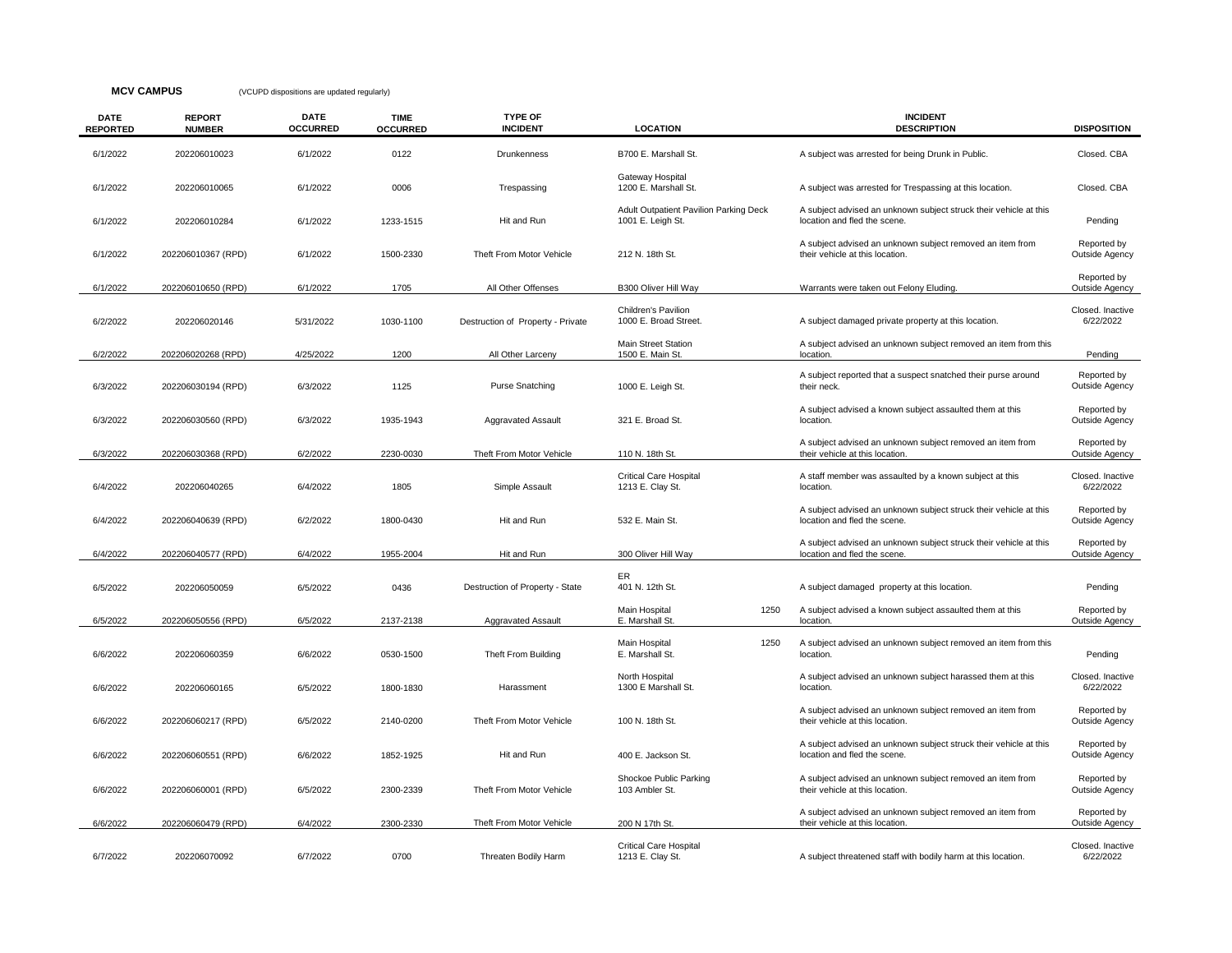## **MCV CAMPUS** (VCUPD dispositions are updated regularly)

| <b>DATE</b><br><b>REPORTED</b> | <b>REPORT</b><br><b>NUMBER</b> | <b>DATE</b><br><b>OCCURRED</b> | <b>TIME</b><br><b>OCCURRED</b> | <b>TYPE OF</b><br><b>INCIDENT</b> | <b>LOCATION</b>                                             | <b>INCIDENT</b><br><b>DESCRIPTION</b>                                                             | <b>DISPOSITION</b>            |
|--------------------------------|--------------------------------|--------------------------------|--------------------------------|-----------------------------------|-------------------------------------------------------------|---------------------------------------------------------------------------------------------------|-------------------------------|
| 6/1/2022                       | 202206010023                   | 6/1/2022                       | 0122                           | Drunkenness                       | B700 E. Marshall St.                                        | A subject was arrested for being Drunk in Public.                                                 | Closed. CBA                   |
| 6/1/2022                       | 202206010065                   | 6/1/2022                       | 0006                           | Trespassing                       | Gateway Hospital<br>1200 E. Marshall St.                    | A subject was arrested for Trespassing at this location.                                          | Closed, CBA                   |
| 6/1/2022                       | 202206010284                   | 6/1/2022                       | 1233-1515                      | Hit and Run                       | Adult Outpatient Pavilion Parking Deck<br>1001 E. Leigh St. | A subject advised an unknown subject struck their vehicle at this<br>location and fled the scene. | Pending                       |
| 6/1/2022                       | 202206010367 (RPD)             | 6/1/2022                       | 1500-2330                      | Theft From Motor Vehicle          | 212 N. 18th St.                                             | A subject advised an unknown subject removed an item from<br>their vehicle at this location.      | Reported by<br>Outside Agency |
| 6/1/2022                       | 202206010650 (RPD)             | 6/1/2022                       | 1705                           | All Other Offenses                | B300 Oliver Hill Way                                        | Warrants were taken out Felony Eluding.                                                           | Reported by<br>Outside Agency |
| 6/2/2022                       | 202206020146                   | 5/31/2022                      | 1030-1100                      | Destruction of Property - Private | Children's Pavilion<br>1000 E. Broad Street.                | A subject damaged private property at this location.                                              | Closed. Inactive<br>6/22/2022 |
| 6/2/2022                       | 202206020268 (RPD)             | 4/25/2022                      | 1200                           | All Other Larceny                 | <b>Main Street Station</b><br>1500 E. Main St.              | A subject advised an unknown subject removed an item from this<br>location.                       | Pending                       |
| 6/3/2022                       | 202206030194 (RPD)             | 6/3/2022                       | 1125                           | <b>Purse Snatching</b>            | 1000 E. Leigh St.                                           | A subject reported that a suspect snatched their purse around<br>their neck.                      | Reported by<br>Outside Agency |
| 6/3/2022                       | 202206030560 (RPD)             | 6/3/2022                       | 1935-1943                      | <b>Aggravated Assault</b>         | 321 E. Broad St.                                            | A subject advised a known subject assaulted them at this<br>location.                             | Reported by<br>Outside Agency |
| 6/3/2022                       | 202206030368 (RPD)             | 6/2/2022                       | 2230-0030                      | Theft From Motor Vehicle          | 110 N. 18th St.                                             | A subject advised an unknown subject removed an item from<br>their vehicle at this location.      | Reported by<br>Outside Agency |
| 6/4/2022                       | 202206040265                   | 6/4/2022                       | 1805                           | Simple Assault                    | <b>Critical Care Hospital</b><br>1213 E. Clay St.           | A staff member was assaulted by a known subject at this<br>location.                              | Closed. Inactive<br>6/22/2022 |
| 6/4/2022                       | 202206040639 (RPD)             | 6/2/2022                       | 1800-0430                      | Hit and Run                       | 532 E. Main St.                                             | A subject advised an unknown subject struck their vehicle at this<br>location and fled the scene. | Reported by<br>Outside Agency |
| 6/4/2022                       | 202206040577 (RPD)             | 6/4/2022                       | 1955-2004                      | Hit and Run                       | 300 Oliver Hill Way                                         | A subject advised an unknown subject struck their vehicle at this<br>location and fled the scene. | Reported by<br>Outside Agency |
| 6/5/2022                       | 202206050059                   | 6/5/2022                       | 0436                           | Destruction of Property - State   | ER<br>401 N. 12th St.                                       | A subject damaged property at this location.                                                      | Pending                       |
| 6/5/2022                       | 202206050556 (RPD)             | 6/5/2022                       | 2137-2138                      | <b>Aggravated Assault</b>         | 1250<br>Main Hospital<br>E. Marshall St.                    | A subject advised a known subject assaulted them at this<br>location.                             | Reported by<br>Outside Agency |
| 6/6/2022                       | 202206060359                   | 6/6/2022                       | 0530-1500                      | Theft From Building               | Main Hospital<br>1250<br>E. Marshall St.                    | A subject advised an unknown subject removed an item from this<br>location.                       | Pending                       |
| 6/6/2022                       | 202206060165                   | 6/5/2022                       | 1800-1830                      | Harassment                        | North Hospital<br>1300 E Marshall St.                       | A subject advised an unknown subject harassed them at this<br>location.                           | Closed, Inactive<br>6/22/2022 |
| 6/6/2022                       | 202206060217 (RPD)             | 6/5/2022                       | 2140-0200                      | Theft From Motor Vehicle          | 100 N. 18th St.                                             | A subject advised an unknown subject removed an item from<br>their vehicle at this location.      | Reported by<br>Outside Agency |
| 6/6/2022                       | 202206060551 (RPD)             | 6/6/2022                       | 1852-1925                      | Hit and Run                       | 400 E. Jackson St.                                          | A subject advised an unknown subject struck their vehicle at this<br>location and fled the scene. | Reported by<br>Outside Agency |
| 6/6/2022                       | 202206060001 (RPD)             | 6/5/2022                       | 2300-2339                      | Theft From Motor Vehicle          | Shockoe Public Parking<br>103 Ambler St.                    | A subject advised an unknown subject removed an item from<br>their vehicle at this location.      | Reported by<br>Outside Agency |
| 6/6/2022                       | 202206060479 (RPD)             | 6/4/2022                       | 2300-2330                      | Theft From Motor Vehicle          | 200 N 17th St.                                              | A subject advised an unknown subject removed an item from<br>their vehicle at this location.      | Reported by<br>Outside Agency |
| 6/7/2022                       | 202206070092                   | 6/7/2022                       | 0700                           | Threaten Bodily Harm              | <b>Critical Care Hospital</b><br>1213 E. Clay St.           | A subject threatened staff with bodily harm at this location.                                     | Closed. Inactive<br>6/22/2022 |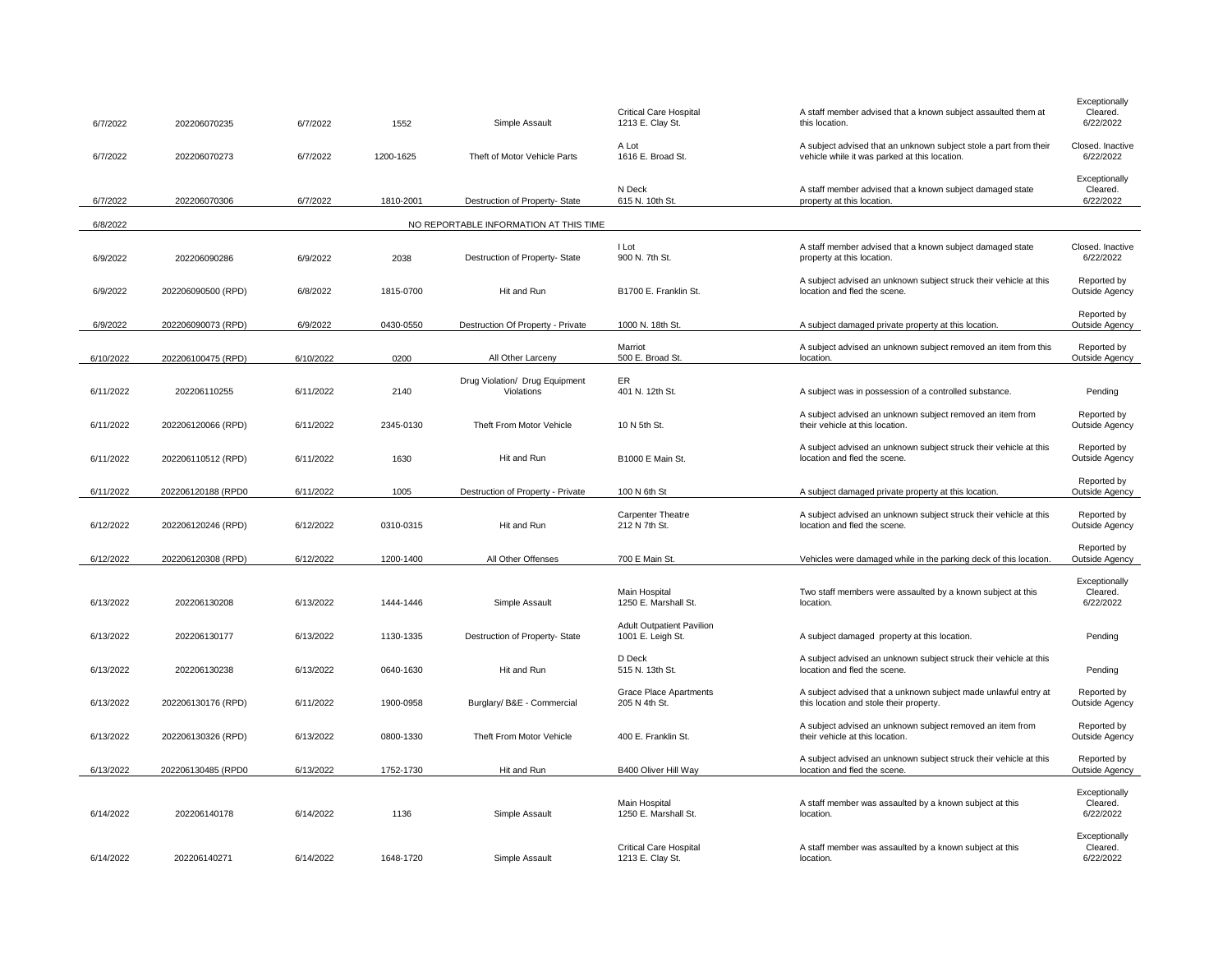| 6/7/2022  | 202206070235       | 6/7/2022  | 1552      | Simple Assault                               | <b>Critical Care Hospital</b><br>1213 E. Clay St.     | A staff member advised that a known subject assaulted them at<br>this location.                                    | Exceptionally<br>Cleared.<br>6/22/2022 |
|-----------|--------------------|-----------|-----------|----------------------------------------------|-------------------------------------------------------|--------------------------------------------------------------------------------------------------------------------|----------------------------------------|
| 6/7/2022  | 202206070273       | 6/7/2022  | 1200-1625 | Theft of Motor Vehicle Parts                 | A Lot<br>1616 E. Broad St.                            | A subject advised that an unknown subject stole a part from their<br>vehicle while it was parked at this location. | Closed, Inactive<br>6/22/2022          |
| 6/7/2022  | 202206070306       | 6/7/2022  | 1810-2001 | Destruction of Property- State               | N Deck<br>615 N. 10th St.                             | A staff member advised that a known subject damaged state<br>property at this location.                            | Exceptionally<br>Cleared.<br>6/22/2022 |
| 6/8/2022  |                    |           |           | NO REPORTABLE INFORMATION AT THIS TIME       |                                                       |                                                                                                                    |                                        |
| 6/9/2022  | 202206090286       | 6/9/2022  | 2038      | Destruction of Property- State               | I Lot<br>900 N. 7th St.                               | A staff member advised that a known subject damaged state<br>property at this location.                            | Closed. Inactive<br>6/22/2022          |
| 6/9/2022  | 202206090500 (RPD) | 6/8/2022  | 1815-0700 | Hit and Run                                  | B1700 E. Franklin St.                                 | A subject advised an unknown subject struck their vehicle at this<br>location and fled the scene.                  | Reported by<br>Outside Agency          |
| 6/9/2022  | 202206090073 (RPD) | 6/9/2022  | 0430-0550 | Destruction Of Property - Private            | 1000 N. 18th St.                                      | A subject damaged private property at this location.                                                               | Reported by<br>Outside Agency          |
| 6/10/2022 | 202206100475 (RPD) | 6/10/2022 | 0200      | All Other Larceny                            | Marriot<br>500 E. Broad St.                           | A subject advised an unknown subject removed an item from this<br>location.                                        | Reported by<br>Outside Agency          |
| 6/11/2022 | 202206110255       | 6/11/2022 | 2140      | Drug Violation/ Drug Equipment<br>Violations | ER<br>401 N. 12th St.                                 | A subject was in possession of a controlled substance.                                                             | Pending                                |
| 6/11/2022 | 202206120066 (RPD) | 6/11/2022 | 2345-0130 | Theft From Motor Vehicle                     | 10 N 5th St.                                          | A subject advised an unknown subject removed an item from<br>their vehicle at this location.                       | Reported by<br>Outside Agency          |
| 6/11/2022 | 202206110512 (RPD) | 6/11/2022 | 1630      | Hit and Run                                  | B1000 E Main St.                                      | A subject advised an unknown subject struck their vehicle at this<br>location and fled the scene.                  | Reported by<br>Outside Agency          |
| 6/11/2022 | 202206120188 (RPD0 | 6/11/2022 | 1005      | Destruction of Property - Private            | 100 N 6th St                                          | A subject damaged private property at this location.                                                               | Reported by<br>Outside Agency          |
| 6/12/2022 | 202206120246 (RPD) | 6/12/2022 | 0310-0315 | Hit and Run                                  | <b>Carpenter Theatre</b><br>212 N 7th St.             | A subject advised an unknown subject struck their vehicle at this<br>location and fled the scene.                  | Reported by<br>Outside Agency          |
| 6/12/2022 | 202206120308 (RPD) | 6/12/2022 | 1200-1400 | All Other Offenses                           | 700 E Main St.                                        | Vehicles were damaged while in the parking deck of this location.                                                  | Reported by<br>Outside Agency          |
| 6/13/2022 | 202206130208       | 6/13/2022 | 1444-1446 | Simple Assault                               | Main Hospital<br>1250 E. Marshall St.                 | Two staff members were assaulted by a known subject at this<br>location.                                           | Exceptionally<br>Cleared.<br>6/22/2022 |
| 6/13/2022 | 202206130177       | 6/13/2022 | 1130-1335 | Destruction of Property- State               | <b>Adult Outpatient Pavilion</b><br>1001 E. Leigh St. | A subject damaged property at this location.                                                                       | Pending                                |
| 6/13/2022 | 202206130238       | 6/13/2022 | 0640-1630 | Hit and Run                                  | D Deck<br>515 N. 13th St.                             | A subject advised an unknown subject struck their vehicle at this<br>location and fled the scene.                  | Pending                                |
| 6/13/2022 | 202206130176 (RPD) | 6/11/2022 | 1900-0958 | Burglary/ B&E - Commercial                   | <b>Grace Place Apartments</b><br>205 N 4th St.        | A subject advised that a unknown subject made unlawful entry at<br>this location and stole their property.         | Reported by<br>Outside Agency          |
| 6/13/2022 | 202206130326 (RPD) | 6/13/2022 | 0800-1330 | Theft From Motor Vehicle                     | 400 E. Franklin St.                                   | A subject advised an unknown subject removed an item from<br>their vehicle at this location.                       | Reported by<br>Outside Agency          |
| 6/13/2022 | 202206130485 (RPD0 | 6/13/2022 | 1752-1730 | Hit and Run                                  | B400 Oliver Hill Way                                  | A subject advised an unknown subject struck their vehicle at this<br>location and fled the scene.                  | Reported by<br>Outside Agency          |
|           |                    |           |           |                                              |                                                       |                                                                                                                    | Exceptionally                          |
| 6/14/2022 | 202206140178       | 6/14/2022 | 1136      | Simple Assault                               | Main Hospital<br>1250 E. Marshall St.                 | A staff member was assaulted by a known subject at this<br>location.                                               | Cleared.<br>6/22/2022                  |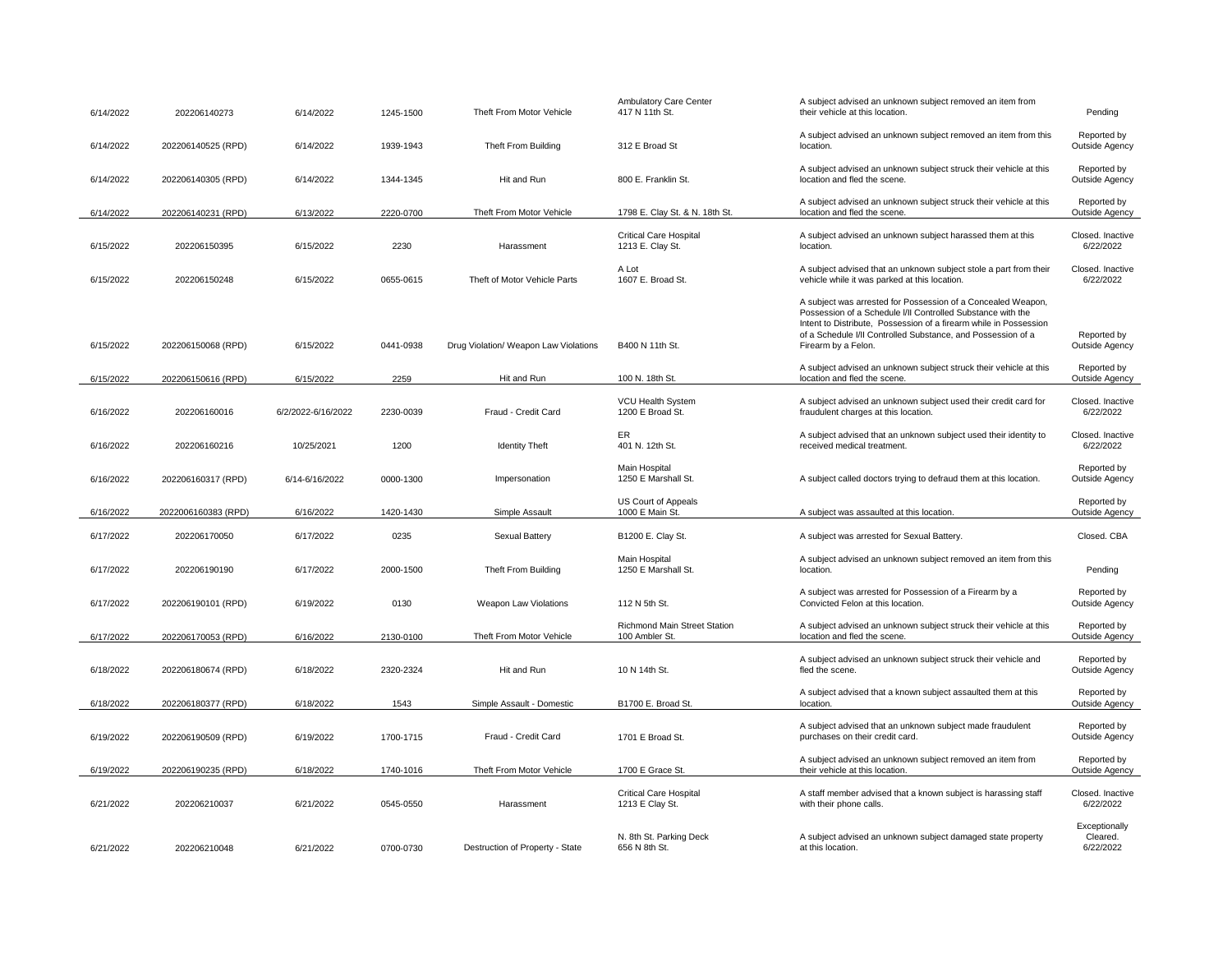| 6/14/2022 | 202206140273        | 6/14/2022          | 1245-1500 | Theft From Motor Vehicle              | <b>Ambulatory Care Center</b><br>417 N 11th St.       | A subject advised an unknown subject removed an item from<br>their vehicle at this location.                                                                                                                                                                                            | Pending                                |
|-----------|---------------------|--------------------|-----------|---------------------------------------|-------------------------------------------------------|-----------------------------------------------------------------------------------------------------------------------------------------------------------------------------------------------------------------------------------------------------------------------------------------|----------------------------------------|
| 6/14/2022 | 202206140525 (RPD)  | 6/14/2022          | 1939-1943 | Theft From Building                   | 312 E Broad St                                        | A subject advised an unknown subject removed an item from this<br>location.                                                                                                                                                                                                             | Reported by<br>Outside Agency          |
| 6/14/2022 | 202206140305 (RPD)  | 6/14/2022          | 1344-1345 | Hit and Run                           | 800 E. Franklin St.                                   | A subject advised an unknown subject struck their vehicle at this<br>location and fled the scene.                                                                                                                                                                                       | Reported by<br>Outside Agency          |
| 6/14/2022 | 202206140231 (RPD)  | 6/13/2022          | 2220-0700 | Theft From Motor Vehicle              | 1798 E. Clay St. & N. 18th St.                        | A subject advised an unknown subject struck their vehicle at this<br>location and fled the scene.                                                                                                                                                                                       | Reported by<br>Outside Agency          |
| 6/15/2022 | 202206150395        | 6/15/2022          | 2230      | Harassment                            | <b>Critical Care Hospital</b><br>1213 E. Clay St.     | A subject advised an unknown subject harassed them at this<br>location.                                                                                                                                                                                                                 | Closed. Inactive<br>6/22/2022          |
| 6/15/2022 | 202206150248        | 6/15/2022          | 0655-0615 | Theft of Motor Vehicle Parts          | A Lot<br>1607 E. Broad St.                            | A subject advised that an unknown subject stole a part from their<br>vehicle while it was parked at this location.                                                                                                                                                                      | Closed. Inactive<br>6/22/2022          |
| 6/15/2022 | 202206150068 (RPD)  | 6/15/2022          | 0441-0938 | Drug Violation/ Weapon Law Violations | B400 N 11th St.                                       | A subject was arrested for Possession of a Concealed Weapon,<br>Possession of a Schedule I/II Controlled Substance with the<br>Intent to Distribute, Possession of a firearm while in Possession<br>of a Schedule I/II Controlled Substance, and Possession of a<br>Firearm by a Felon. | Reported by<br>Outside Agency          |
| 6/15/2022 | 202206150616 (RPD)  | 6/15/2022          | 2259      | Hit and Run                           | 100 N. 18th St.                                       | A subject advised an unknown subject struck their vehicle at this<br>location and fled the scene.                                                                                                                                                                                       | Reported by<br>Outside Agency          |
| 6/16/2022 | 202206160016        | 6/2/2022-6/16/2022 | 2230-0039 | Fraud - Credit Card                   | VCU Health System<br>1200 E Broad St.                 | A subject advised an unknown subject used their credit card for<br>fraudulent charges at this location.                                                                                                                                                                                 | Closed, Inactive<br>6/22/2022          |
| 6/16/2022 | 202206160216        | 10/25/2021         | 1200      | <b>Identity Theft</b>                 | ER<br>401 N. 12th St.                                 | A subject advised that an unknown subject used their identity to<br>received medical treatment.                                                                                                                                                                                         | Closed. Inactive<br>6/22/2022          |
| 6/16/2022 | 202206160317 (RPD)  | 6/14-6/16/2022     | 0000-1300 | Impersonation                         | Main Hospital<br>1250 E Marshall St.                  | A subject called doctors trying to defraud them at this location.                                                                                                                                                                                                                       | Reported by<br>Outside Agency          |
| 6/16/2022 | 2022006160383 (RPD) | 6/16/2022          | 1420-1430 | Simple Assault                        | US Court of Appeals<br>1000 E Main St.                | A subject was assaulted at this location.                                                                                                                                                                                                                                               | Reported by<br>Outside Agency          |
| 6/17/2022 | 202206170050        | 6/17/2022          | 0235      | Sexual Battery                        | B1200 E. Clay St.                                     | A subject was arrested for Sexual Battery.                                                                                                                                                                                                                                              | Closed, CBA                            |
| 6/17/2022 | 202206190190        | 6/17/2022          | 2000-1500 | Theft From Building                   | Main Hospital<br>1250 E Marshall St.                  | A subject advised an unknown subject removed an item from this<br>location.                                                                                                                                                                                                             | Pending                                |
| 6/17/2022 | 202206190101 (RPD)  | 6/19/2022          | 0130      | Weapon Law Violations                 | 112 N 5th St.                                         | A subject was arrested for Possession of a Firearm by a<br>Convicted Felon at this location.                                                                                                                                                                                            | Reported by<br>Outside Agency          |
| 6/17/2022 | 202206170053 (RPD)  | 6/16/2022          | 2130-0100 | Theft From Motor Vehicle              | <b>Richmond Main Street Station</b><br>100 Ambler St. | A subject advised an unknown subject struck their vehicle at this<br>location and fled the scene.                                                                                                                                                                                       | Reported by<br>Outside Agency          |
| 6/18/2022 | 202206180674 (RPD)  | 6/18/2022          | 2320-2324 | Hit and Run                           | 10 N 14th St.                                         | A subject advised an unknown subject struck their vehicle and<br>fled the scene.                                                                                                                                                                                                        | Reported by<br>Outside Agency          |
| 6/18/2022 | 202206180377 (RPD)  | 6/18/2022          | 1543      | Simple Assault - Domestic             | B1700 E. Broad St.                                    | A subject advised that a known subject assaulted them at this<br>location.                                                                                                                                                                                                              | Reported by<br>Outside Agency          |
| 6/19/2022 | 202206190509 (RPD)  | 6/19/2022          | 1700-1715 | Fraud - Credit Card                   | 1701 E Broad St.                                      | A subject advised that an unknown subject made fraudulent<br>purchases on their credit card.                                                                                                                                                                                            | Reported by<br>Outside Agency          |
| 6/19/2022 | 202206190235 (RPD)  | 6/18/2022          | 1740-1016 | Theft From Motor Vehicle              | 1700 E Grace St.                                      | A subject advised an unknown subject removed an item from<br>their vehicle at this location.                                                                                                                                                                                            | Reported by<br>Outside Agency          |
| 6/21/2022 | 202206210037        | 6/21/2022          | 0545-0550 | Harassment                            | <b>Critical Care Hospital</b><br>1213 E Clay St.      | A staff member advised that a known subject is harassing staff<br>with their phone calls.                                                                                                                                                                                               | Closed. Inactive<br>6/22/2022          |
| 6/21/2022 | 202206210048        | 6/21/2022          | 0700-0730 | Destruction of Property - State       | N. 8th St. Parking Deck<br>656 N 8th St.              | A subject advised an unknown subject damaged state property<br>at this location.                                                                                                                                                                                                        | Exceptionally<br>Cleared.<br>6/22/2022 |